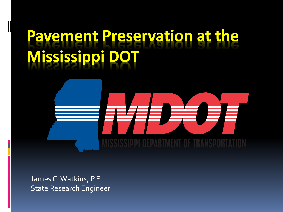# **Ravement Preservation at the Mississippi**

James C. Watkins, P.E. State Research Engineer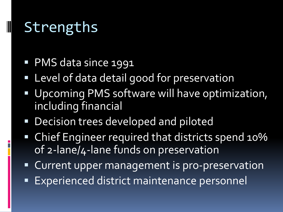### Strengths

- **PMS data since 1991**
- Level of data detail good for preservation
- Upcoming PMS software will have optimization, including financial
- **Decision trees developed and piloted**
- Chief Engineer required that districts spend 10% of 2-lane/4-lane funds on preservation
- **Current upper management is pro-preservation**
- **Experienced district maintenance personnel**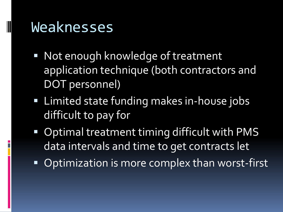#### Weaknesses

- Not enough knowledge of treatment application technique (both contractors and DOT personnel)
- **EXTERN Limited state funding makes in-house jobs** difficult to pay for
- **Optimal treatment timing difficult with PMS** data intervals and time to get contracts let
- Optimization is more complex than worst-first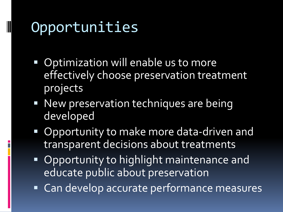# Opportunities

- Optimization will enable us to more effectively choose preservation treatment projects
- **New preservation techniques are being** developed
- Opportunity to make more data-driven and transparent decisions about treatments
- **Opportunity to highlight maintenance and** educate public about preservation
- Can develop accurate performance measures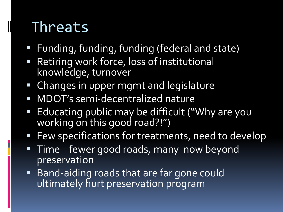## Threats

- Funding, funding, funding (federal and state)
- Retiring work force, loss of institutional knowledge, turnover
- **Example 1** Changes in upper mgmt and legislature
- MDOT's semi-decentralized nature
- **Educating public may be difficult ("Why are you** working on this good road?!")
- **Few specifications for treatments, need to develop**
- **Time—fewer good roads, many now beyond** preservation
- **Band-aiding roads that are far gone could** ultimately hurt preservation program